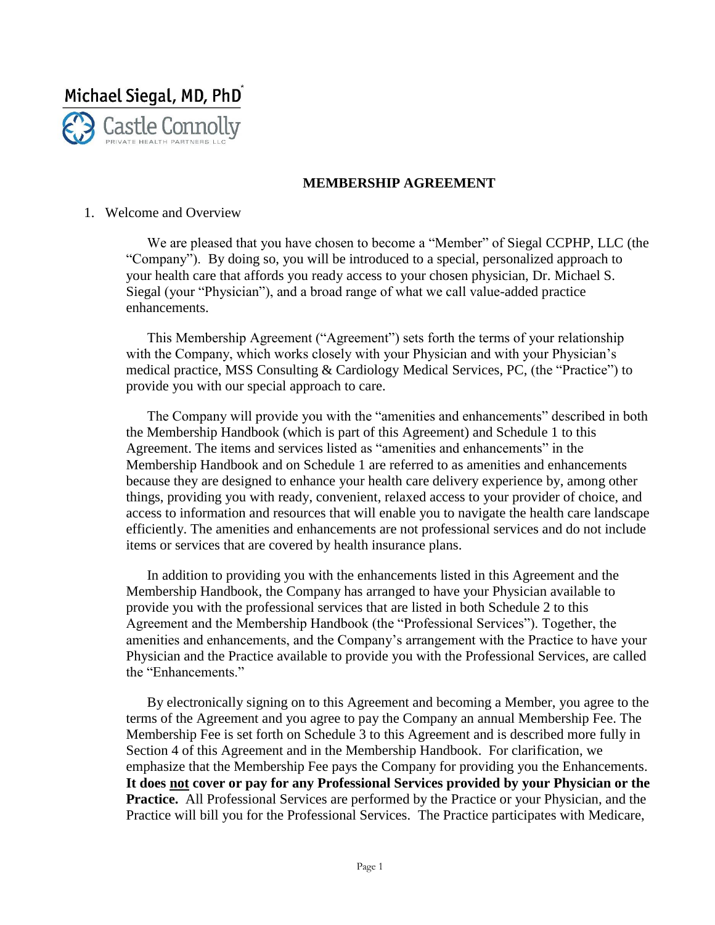

### **MEMBERSHIP AGREEMENT**

#### 1. Welcome and Overview

We are pleased that you have chosen to become a "Member" of Siegal CCPHP, LLC (the "Company"). By doing so, you will be introduced to a special, personalized approach to your health care that affords you ready access to your chosen physician, Dr. Michael S. Siegal (your "Physician"), and a broad range of what we call value-added practice enhancements.

This Membership Agreement ("Agreement") sets forth the terms of your relationship with the Company, which works closely with your Physician and with your Physician's medical practice, MSS Consulting & Cardiology Medical Services, PC, (the "Practice") to provide you with our special approach to care.

The Company will provide you with the "amenities and enhancements" described in both the Membership Handbook (which is part of this Agreement) and Schedule 1 to this Agreement. The items and services listed as "amenities and enhancements" in the Membership Handbook and on Schedule 1 are referred to as amenities and enhancements because they are designed to enhance your health care delivery experience by, among other things, providing you with ready, convenient, relaxed access to your provider of choice, and access to information and resources that will enable you to navigate the health care landscape efficiently. The amenities and enhancements are not professional services and do not include items or services that are covered by health insurance plans.

In addition to providing you with the enhancements listed in this Agreement and the Membership Handbook, the Company has arranged to have your Physician available to provide you with the professional services that are listed in both Schedule 2 to this Agreement and the Membership Handbook (the "Professional Services"). Together, the amenities and enhancements, and the Company's arrangement with the Practice to have your Physician and the Practice available to provide you with the Professional Services, are called the "Enhancements."

By electronically signing on to this Agreement and becoming a Member, you agree to the terms of the Agreement and you agree to pay the Company an annual Membership Fee. The Membership Fee is set forth on Schedule 3 to this Agreement and is described more fully in Section 4 of this Agreement and in the Membership Handbook. For clarification, we emphasize that the Membership Fee pays the Company for providing you the Enhancements. **It does not cover or pay for any Professional Services provided by your Physician or the Practice.** All Professional Services are performed by the Practice or your Physician, and the Practice will bill you for the Professional Services. The Practice participates with Medicare,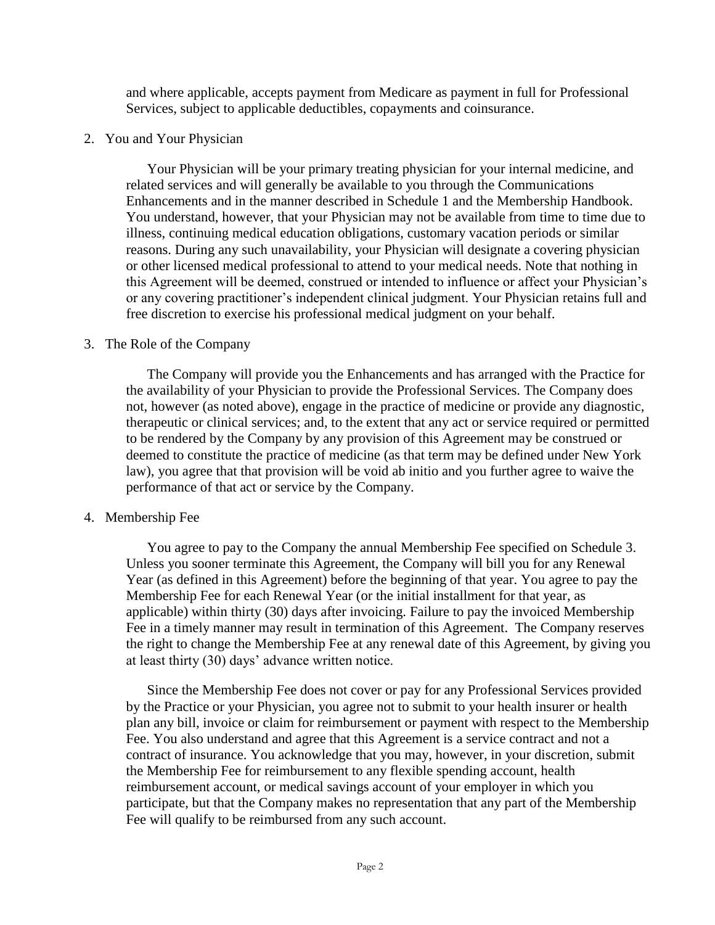and where applicable, accepts payment from Medicare as payment in full for Professional Services, subject to applicable deductibles, copayments and coinsurance.

### 2. You and Your Physician

Your Physician will be your primary treating physician for your internal medicine, and related services and will generally be available to you through the Communications Enhancements and in the manner described in Schedule 1 and the Membership Handbook. You understand, however, that your Physician may not be available from time to time due to illness, continuing medical education obligations, customary vacation periods or similar reasons. During any such unavailability, your Physician will designate a covering physician or other licensed medical professional to attend to your medical needs. Note that nothing in this Agreement will be deemed, construed or intended to influence or affect your Physician's or any covering practitioner's independent clinical judgment. Your Physician retains full and free discretion to exercise his professional medical judgment on your behalf.

### 3. The Role of the Company

The Company will provide you the Enhancements and has arranged with the Practice for the availability of your Physician to provide the Professional Services. The Company does not, however (as noted above), engage in the practice of medicine or provide any diagnostic, therapeutic or clinical services; and, to the extent that any act or service required or permitted to be rendered by the Company by any provision of this Agreement may be construed or deemed to constitute the practice of medicine (as that term may be defined under New York law), you agree that that provision will be void ab initio and you further agree to waive the performance of that act or service by the Company.

### 4. Membership Fee

You agree to pay to the Company the annual Membership Fee specified on Schedule 3. Unless you sooner terminate this Agreement, the Company will bill you for any Renewal Year (as defined in this Agreement) before the beginning of that year. You agree to pay the Membership Fee for each Renewal Year (or the initial installment for that year, as applicable) within thirty (30) days after invoicing. Failure to pay the invoiced Membership Fee in a timely manner may result in termination of this Agreement. The Company reserves the right to change the Membership Fee at any renewal date of this Agreement, by giving you at least thirty (30) days' advance written notice.

Since the Membership Fee does not cover or pay for any Professional Services provided by the Practice or your Physician, you agree not to submit to your health insurer or health plan any bill, invoice or claim for reimbursement or payment with respect to the Membership Fee. You also understand and agree that this Agreement is a service contract and not a contract of insurance. You acknowledge that you may, however, in your discretion, submit the Membership Fee for reimbursement to any flexible spending account, health reimbursement account, or medical savings account of your employer in which you participate, but that the Company makes no representation that any part of the Membership Fee will qualify to be reimbursed from any such account.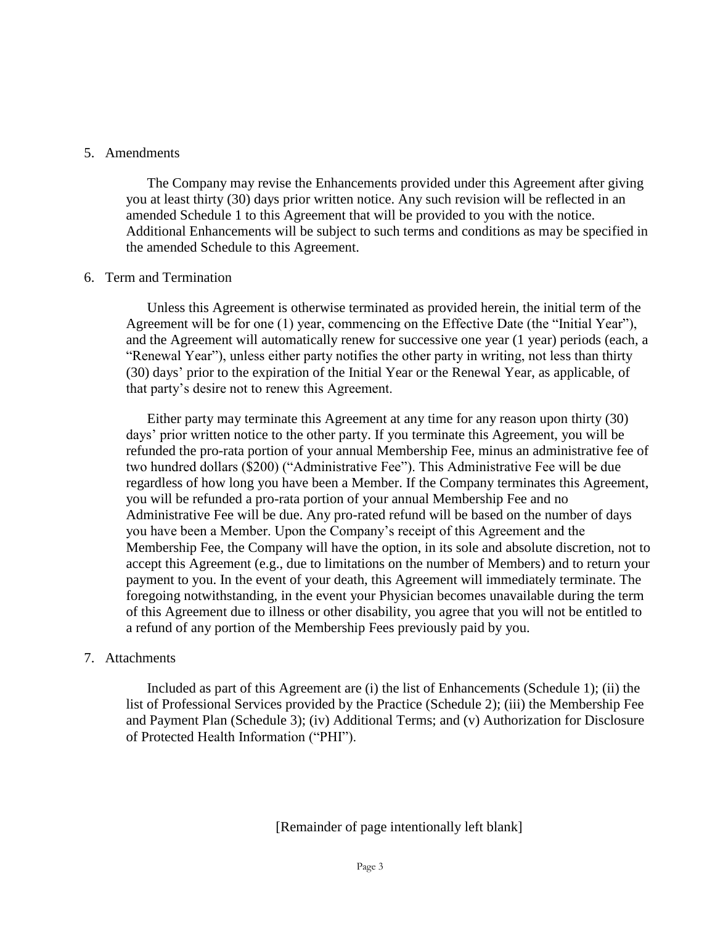#### 5. Amendments

The Company may revise the Enhancements provided under this Agreement after giving you at least thirty (30) days prior written notice. Any such revision will be reflected in an amended Schedule 1 to this Agreement that will be provided to you with the notice. Additional Enhancements will be subject to such terms and conditions as may be specified in the amended Schedule to this Agreement.

#### 6. Term and Termination

Unless this Agreement is otherwise terminated as provided herein, the initial term of the Agreement will be for one (1) year, commencing on the Effective Date (the "Initial Year"), and the Agreement will automatically renew for successive one year (1 year) periods (each, a "Renewal Year"), unless either party notifies the other party in writing, not less than thirty (30) days' prior to the expiration of the Initial Year or the Renewal Year, as applicable, of that party's desire not to renew this Agreement.

Either party may terminate this Agreement at any time for any reason upon thirty (30) days' prior written notice to the other party. If you terminate this Agreement, you will be refunded the pro-rata portion of your annual Membership Fee, minus an administrative fee of two hundred dollars (\$200) ("Administrative Fee"). This Administrative Fee will be due regardless of how long you have been a Member. If the Company terminates this Agreement, you will be refunded a pro-rata portion of your annual Membership Fee and no Administrative Fee will be due. Any pro-rated refund will be based on the number of days you have been a Member. Upon the Company's receipt of this Agreement and the Membership Fee, the Company will have the option, in its sole and absolute discretion, not to accept this Agreement (e.g., due to limitations on the number of Members) and to return your payment to you. In the event of your death, this Agreement will immediately terminate. The foregoing notwithstanding, in the event your Physician becomes unavailable during the term of this Agreement due to illness or other disability, you agree that you will not be entitled to a refund of any portion of the Membership Fees previously paid by you.

#### 7. Attachments

Included as part of this Agreement are (i) the list of Enhancements (Schedule 1); (ii) the list of Professional Services provided by the Practice (Schedule 2); (iii) the Membership Fee and Payment Plan (Schedule 3); (iv) Additional Terms; and (v) Authorization for Disclosure of Protected Health Information ("PHI").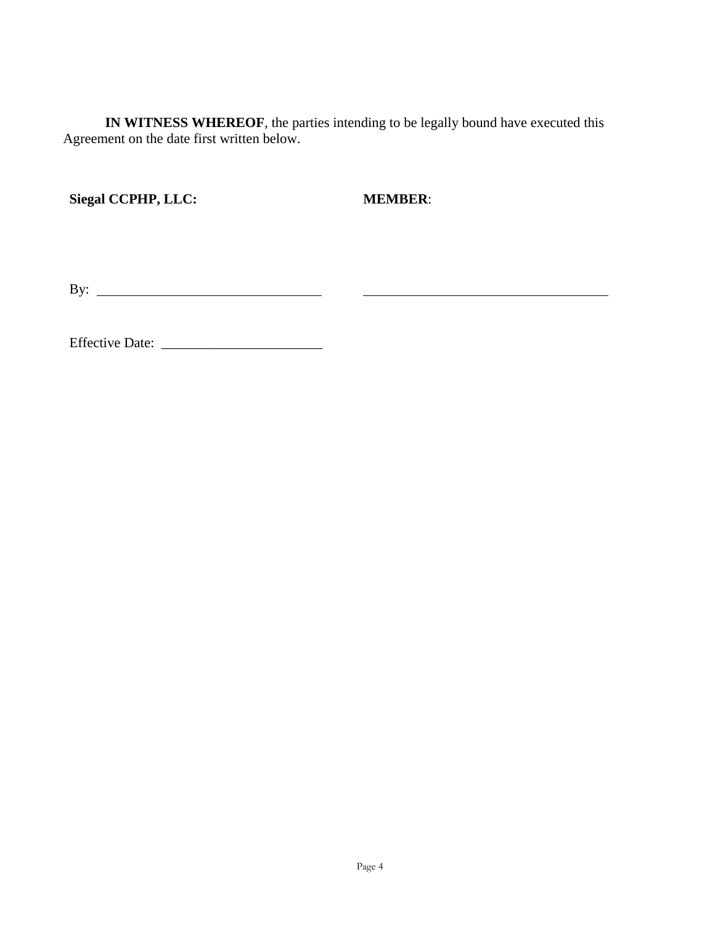**IN WITNESS WHEREOF**, the parties intending to be legally bound have executed this Agreement on the date first written below.

**Siegal CCPHP, LLC:**

 **MEMBER**:

By:  $\qquad \qquad$ 

Effective Date: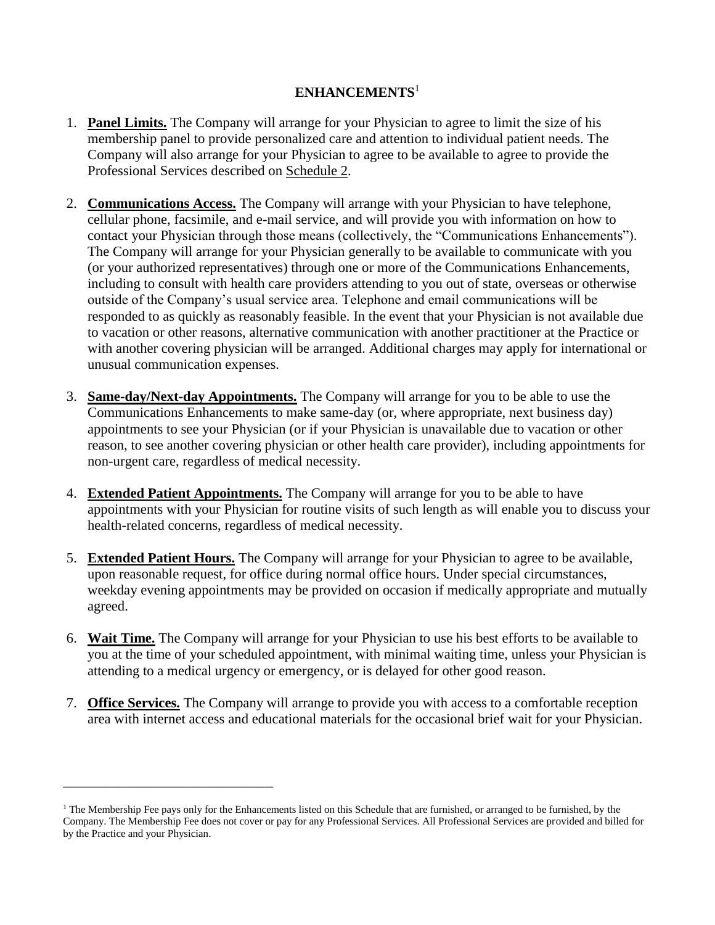## **ENHANCEMENTS**<sup>1</sup>

- 1. **Panel Limits.** The Company will arrange for your Physician to agree to limit the size of his membership panel to provide personalized care and attention to individual patient needs. The Company will also arrange for your Physician to agree to be available to agree to provide the Professional Services described on Schedule 2.
- 2. **Communications Access.** The Company will arrange with your Physician to have telephone, cellular phone, facsimile, and e-mail service, and will provide you with information on how to contact your Physician through those means (collectively, the "Communications Enhancements"). The Company will arrange for your Physician generally to be available to communicate with you (or your authorized representatives) through one or more of the Communications Enhancements, including to consult with health care providers attending to you out of state, overseas or otherwise outside of the Company's usual service area. Telephone and email communications will be responded to as quickly as reasonably feasible. In the event that your Physician is not available due to vacation or other reasons, alternative communication with another practitioner at the Practice or with another covering physician will be arranged. Additional charges may apply for international or unusual communication expenses.
- 3. **Same-day/Next-day Appointments.** The Company will arrange for you to be able to use the Communications Enhancements to make same-day (or, where appropriate, next business day) appointments to see your Physician (or if your Physician is unavailable due to vacation or other reason, to see another covering physician or other health care provider), including appointments for non-urgent care, regardless of medical necessity.
- 4. **Extended Patient Appointments.** The Company will arrange for you to be able to have appointments with your Physician for routine visits of such length as will enable you to discuss your health-related concerns, regardless of medical necessity.
- 5. **Extended Patient Hours.** The Company will arrange for your Physician to agree to be available, upon reasonable request, for office during normal office hours. Under special circumstances, weekday evening appointments may be provided on occasion if medically appropriate and mutually agreed.
- 6. **Wait Time.** The Company will arrange for your Physician to use his best efforts to be available to you at the time of your scheduled appointment, with minimal waiting time, unless your Physician is attending to a medical urgency or emergency, or is delayed for other good reason.
- 7. **Office Services.** The Company will arrange to provide you with access to a comfortable reception area with internet access and educational materials for the occasional brief wait for your Physician.

\_\_\_\_\_\_\_\_\_\_\_\_\_\_\_\_\_\_\_\_\_\_\_\_\_\_\_\_\_\_

 $1$  The Membership Fee pays only for the Enhancements listed on this Schedule that are furnished, or arranged to be furnished, by the Company. The Membership Fee does not cover or pay for any Professional Services. All Professional Services are provided and billed for by the Practice and your Physician.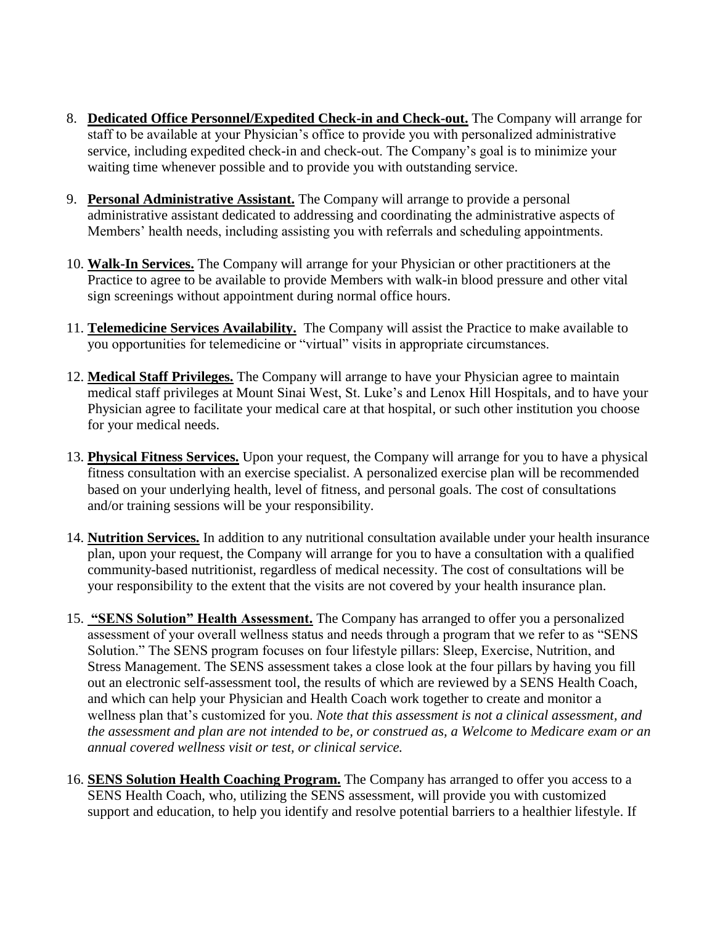- 8. **Dedicated Office Personnel/Expedited Check-in and Check-out.** The Company will arrange for staff to be available at your Physician's office to provide you with personalized administrative service, including expedited check-in and check-out. The Company's goal is to minimize your waiting time whenever possible and to provide you with outstanding service.
- 9. **Personal Administrative Assistant.** The Company will arrange to provide a personal administrative assistant dedicated to addressing and coordinating the administrative aspects of Members' health needs, including assisting you with referrals and scheduling appointments.
- 10. **Walk-In Services.** The Company will arrange for your Physician or other practitioners at the Practice to agree to be available to provide Members with walk-in blood pressure and other vital sign screenings without appointment during normal office hours.
- 11. **Telemedicine Services Availability.** The Company will assist the Practice to make available to you opportunities for telemedicine or "virtual" visits in appropriate circumstances.
- 12. **Medical Staff Privileges.** The Company will arrange to have your Physician agree to maintain medical staff privileges at Mount Sinai West, St. Luke's and Lenox Hill Hospitals, and to have your Physician agree to facilitate your medical care at that hospital, or such other institution you choose for your medical needs.
- 13. **Physical Fitness Services.** Upon your request, the Company will arrange for you to have a physical fitness consultation with an exercise specialist. A personalized exercise plan will be recommended based on your underlying health, level of fitness, and personal goals. The cost of consultations and/or training sessions will be your responsibility.
- 14. **Nutrition Services.** In addition to any nutritional consultation available under your health insurance plan, upon your request, the Company will arrange for you to have a consultation with a qualified community-based nutritionist, regardless of medical necessity. The cost of consultations will be your responsibility to the extent that the visits are not covered by your health insurance plan.
- 15. **"SENS Solution" Health Assessment.** The Company has arranged to offer you a personalized assessment of your overall wellness status and needs through a program that we refer to as "SENS Solution." The SENS program focuses on four lifestyle pillars: Sleep, Exercise, Nutrition, and Stress Management. The SENS assessment takes a close look at the four pillars by having you fill out an electronic self-assessment tool, the results of which are reviewed by a SENS Health Coach, and which can help your Physician and Health Coach work together to create and monitor a wellness plan that's customized for you. *Note that this assessment is not a clinical assessment, and the assessment and plan are not intended to be, or construed as, a Welcome to Medicare exam or an annual covered wellness visit or test, or clinical service.*
- 16. **SENS Solution Health Coaching Program.** The Company has arranged to offer you access to a SENS Health Coach, who, utilizing the SENS assessment, will provide you with customized support and education, to help you identify and resolve potential barriers to a healthier lifestyle. If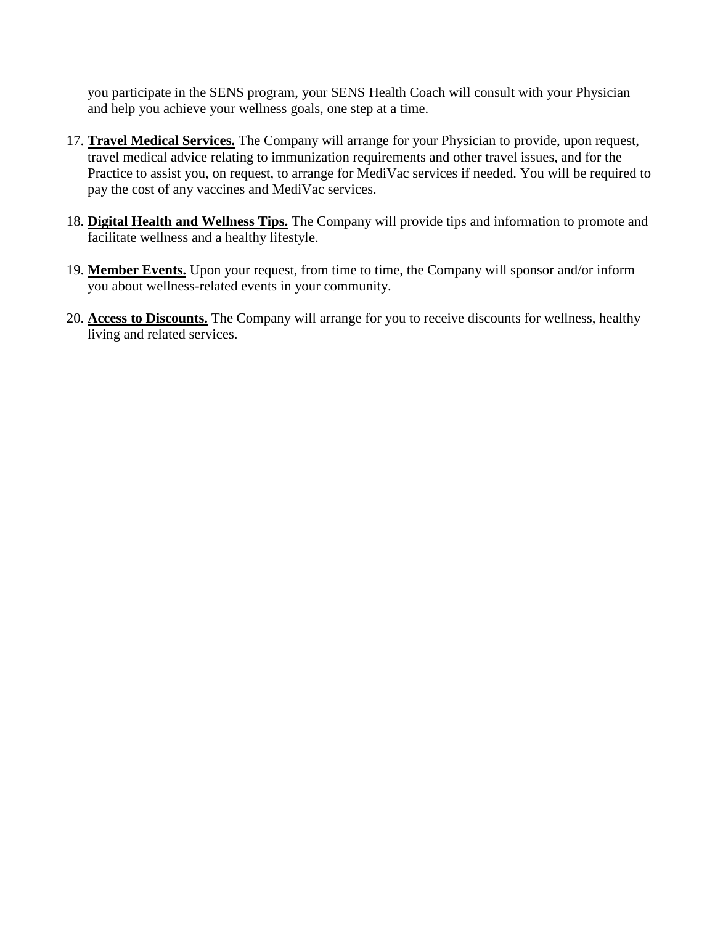you participate in the SENS program, your SENS Health Coach will consult with your Physician and help you achieve your wellness goals, one step at a time.

- 17. **Travel Medical Services.** The Company will arrange for your Physician to provide, upon request, travel medical advice relating to immunization requirements and other travel issues, and for the Practice to assist you, on request, to arrange for MediVac services if needed. You will be required to pay the cost of any vaccines and MediVac services.
- 18. **Digital Health and Wellness Tips.** The Company will provide tips and information to promote and facilitate wellness and a healthy lifestyle.
- 19. **Member Events.** Upon your request, from time to time, the Company will sponsor and/or inform you about wellness-related events in your community.
- 20. **Access to Discounts.** The Company will arrange for you to receive discounts for wellness, healthy living and related services.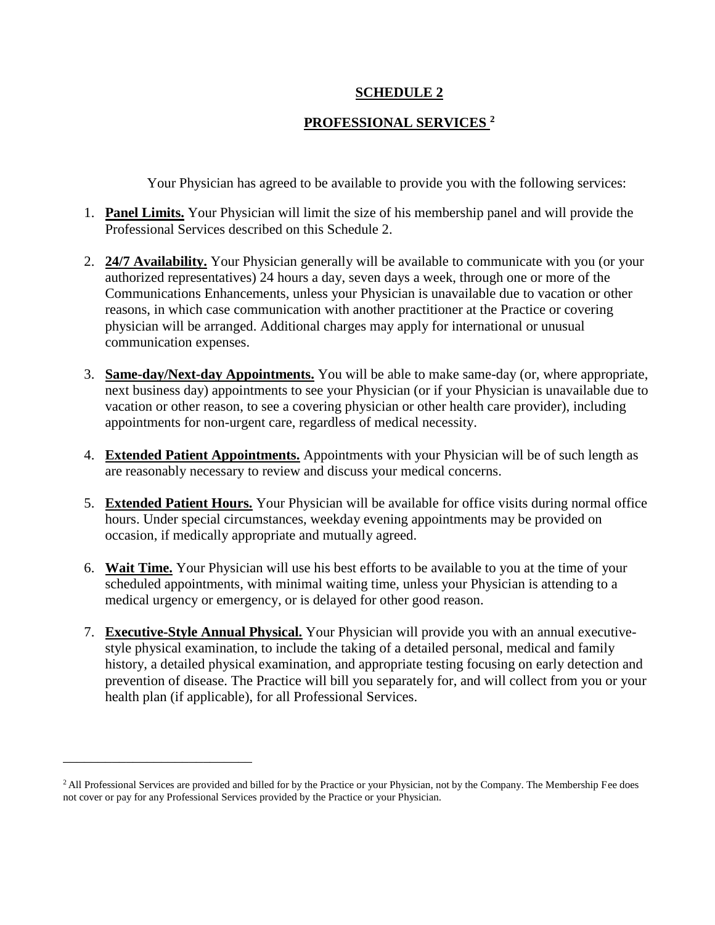## **SCHEDULE 2**

# **PROFESSIONAL SERVICES <sup>2</sup>**

Your Physician has agreed to be available to provide you with the following services:

- 1. **Panel Limits.** Your Physician will limit the size of his membership panel and will provide the Professional Services described on this Schedule 2.
- 2. **24/7 Availability.** Your Physician generally will be available to communicate with you (or your authorized representatives) 24 hours a day, seven days a week, through one or more of the Communications Enhancements, unless your Physician is unavailable due to vacation or other reasons, in which case communication with another practitioner at the Practice or covering physician will be arranged. Additional charges may apply for international or unusual communication expenses.
- 3. **Same-day/Next-day Appointments.** You will be able to make same-day (or, where appropriate, next business day) appointments to see your Physician (or if your Physician is unavailable due to vacation or other reason, to see a covering physician or other health care provider), including appointments for non-urgent care, regardless of medical necessity.
- 4. **Extended Patient Appointments.** Appointments with your Physician will be of such length as are reasonably necessary to review and discuss your medical concerns.
- 5. **Extended Patient Hours.** Your Physician will be available for office visits during normal office hours. Under special circumstances, weekday evening appointments may be provided on occasion, if medically appropriate and mutually agreed.
- 6. **Wait Time.** Your Physician will use his best efforts to be available to you at the time of your scheduled appointments, with minimal waiting time, unless your Physician is attending to a medical urgency or emergency, or is delayed for other good reason.
- 7. **Executive-Style Annual Physical.** Your Physician will provide you with an annual executivestyle physical examination, to include the taking of a detailed personal, medical and family history, a detailed physical examination, and appropriate testing focusing on early detection and prevention of disease. The Practice will bill you separately for, and will collect from you or your health plan (if applicable), for all Professional Services.

\_\_\_\_\_\_\_\_\_\_\_\_\_\_\_\_\_\_\_\_\_\_\_\_\_\_\_

<sup>&</sup>lt;sup>2</sup> All Professional Services are provided and billed for by the Practice or your Physician, not by the Company. The Membership Fee does not cover or pay for any Professional Services provided by the Practice or your Physician.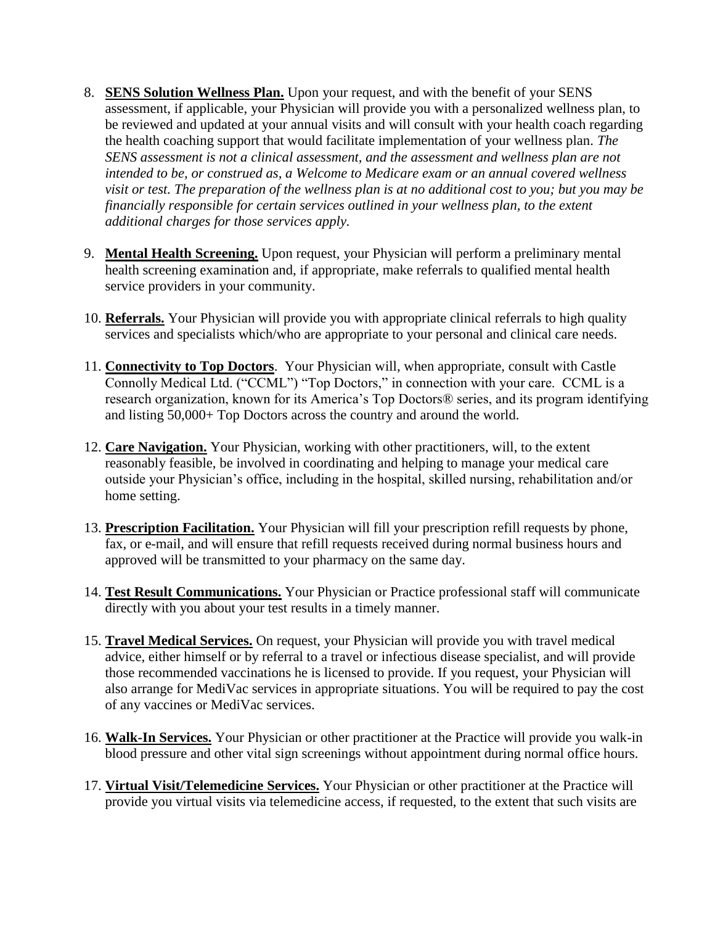- 8. **SENS Solution Wellness Plan.** Upon your request, and with the benefit of your SENS assessment, if applicable, your Physician will provide you with a personalized wellness plan, to be reviewed and updated at your annual visits and will consult with your health coach regarding the health coaching support that would facilitate implementation of your wellness plan. *The SENS assessment is not a clinical assessment, and the assessment and wellness plan are not intended to be, or construed as, a Welcome to Medicare exam or an annual covered wellness visit or test. The preparation of the wellness plan is at no additional cost to you; but you may be financially responsible for certain services outlined in your wellness plan, to the extent additional charges for those services apply.*
- 9. **Mental Health Screening.** Upon request, your Physician will perform a preliminary mental health screening examination and, if appropriate, make referrals to qualified mental health service providers in your community.
- 10. **Referrals.** Your Physician will provide you with appropriate clinical referrals to high quality services and specialists which/who are appropriate to your personal and clinical care needs.
- 11. **Connectivity to Top Doctors**. Your Physician will, when appropriate, consult with Castle Connolly Medical Ltd. ("CCML") "Top Doctors," in connection with your care. CCML is a research organization, known for its America's Top Doctors® series, and its program identifying and listing 50,000+ Top Doctors across the country and around the world.
- 12. **Care Navigation.** Your Physician, working with other practitioners, will, to the extent reasonably feasible, be involved in coordinating and helping to manage your medical care outside your Physician's office, including in the hospital, skilled nursing, rehabilitation and/or home setting.
- 13. **Prescription Facilitation.** Your Physician will fill your prescription refill requests by phone, fax, or e-mail, and will ensure that refill requests received during normal business hours and approved will be transmitted to your pharmacy on the same day.
- 14. **Test Result Communications.** Your Physician or Practice professional staff will communicate directly with you about your test results in a timely manner.
- 15. **Travel Medical Services.** On request, your Physician will provide you with travel medical advice, either himself or by referral to a travel or infectious disease specialist, and will provide those recommended vaccinations he is licensed to provide. If you request, your Physician will also arrange for MediVac services in appropriate situations. You will be required to pay the cost of any vaccines or MediVac services.
- 16. **Walk-In Services.** Your Physician or other practitioner at the Practice will provide you walk-in blood pressure and other vital sign screenings without appointment during normal office hours.
- 17. **Virtual Visit/Telemedicine Services.** Your Physician or other practitioner at the Practice will provide you virtual visits via telemedicine access, if requested, to the extent that such visits are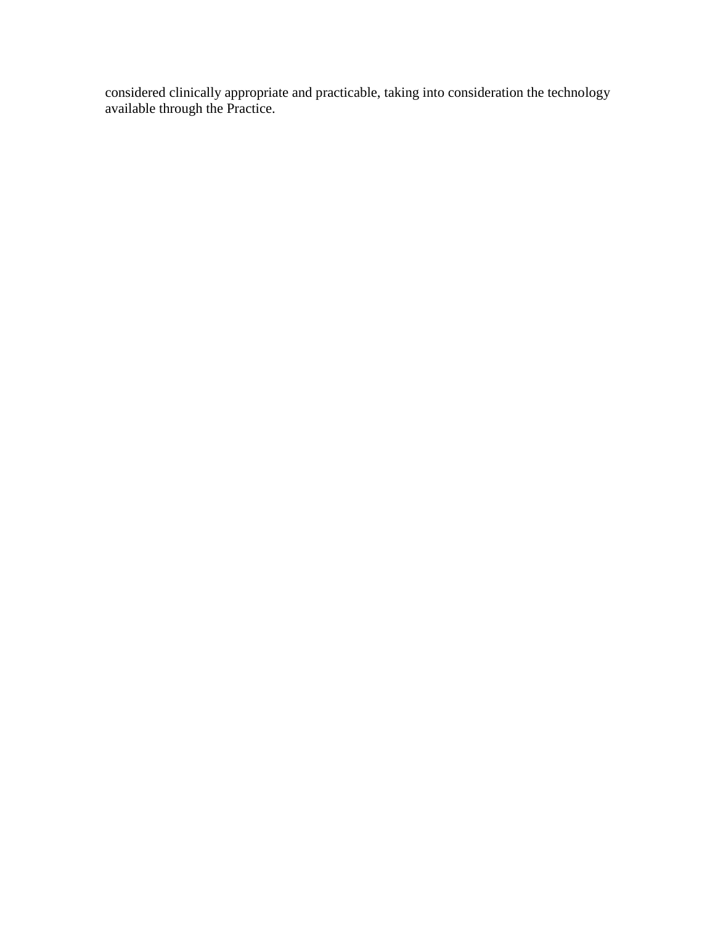considered clinically appropriate and practicable, taking into consideration the technology available through the Practice.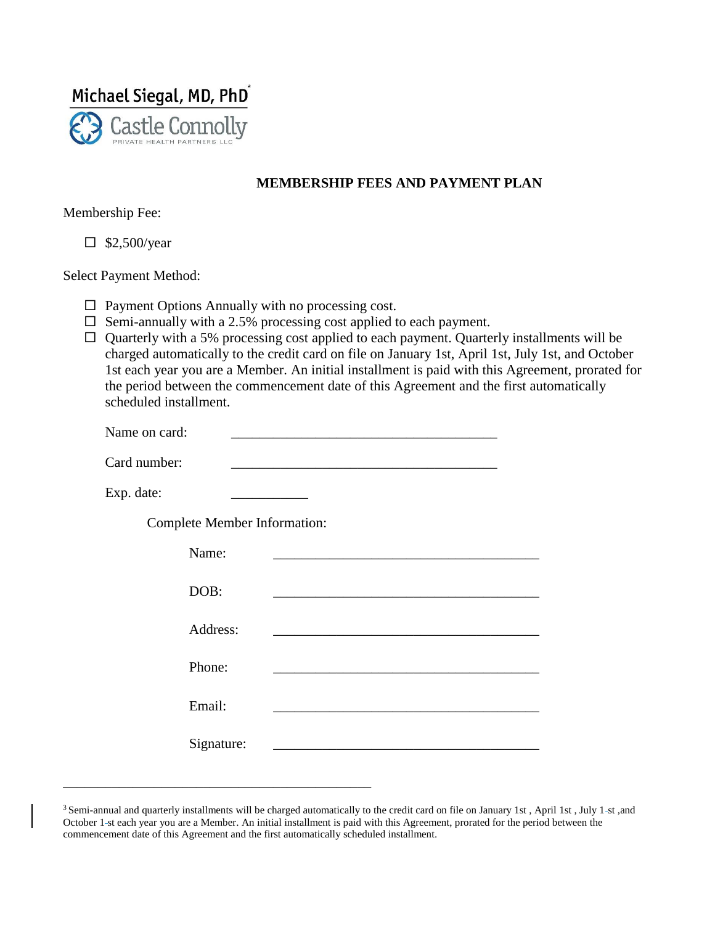

## **MEMBERSHIP FEES AND PAYMENT PLAN**

Membership Fee:

 $\Box$  \$2,500/year

Select Payment Method:

 $\Box$  Payment Options Annually with no processing cost.

\_\_\_\_\_\_\_\_\_\_\_\_\_\_\_\_\_\_\_\_\_\_\_\_\_\_\_\_\_\_\_\_\_\_\_\_\_\_\_\_\_\_\_\_

- $\square$  Semi-annually with a 2.5% processing cost applied to each payment.
- $\Box$  Quarterly with a 5% processing cost applied to each payment. Quarterly installments will be charged automatically to the credit card on file on January 1st, April 1st, July 1st, and October 1st each year you are a Member. An initial installment is paid with this Agreement, prorated for the period between the commencement date of this Agreement and the first automatically scheduled installment.

| Name on card:                       |  |
|-------------------------------------|--|
| Card number:                        |  |
| Exp. date:                          |  |
| <b>Complete Member Information:</b> |  |
| Name:                               |  |
| DOB:                                |  |
| Address:                            |  |
| Phone:                              |  |
| Email:                              |  |
| Signature:                          |  |

<sup>&</sup>lt;sup>3</sup> Semi-annual and quarterly installments will be charged automatically to the credit card on file on January 1st, April 1st, July 1-st, and October 1 st each year you are a Member. An initial installment is paid with this Agreement, prorated for the period between the commencement date of this Agreement and the first automatically scheduled installment.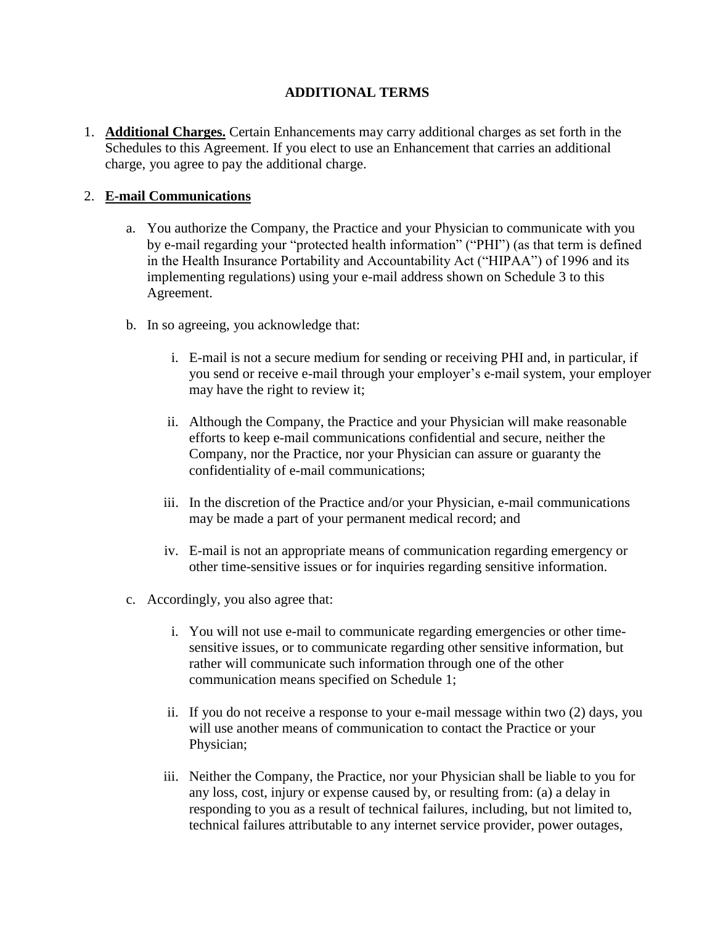# **ADDITIONAL TERMS**

1. **Additional Charges.** Certain Enhancements may carry additional charges as set forth in the Schedules to this Agreement. If you elect to use an Enhancement that carries an additional charge, you agree to pay the additional charge.

# 2. **E-mail Communications**

- a. You authorize the Company, the Practice and your Physician to communicate with you by e-mail regarding your "protected health information" ("PHI") (as that term is defined in the Health Insurance Portability and Accountability Act ("HIPAA") of 1996 and its implementing regulations) using your e-mail address shown on Schedule 3 to this Agreement.
- b. In so agreeing, you acknowledge that:
	- i. E-mail is not a secure medium for sending or receiving PHI and, in particular, if you send or receive e-mail through your employer's e-mail system, your employer may have the right to review it;
	- ii. Although the Company, the Practice and your Physician will make reasonable efforts to keep e-mail communications confidential and secure, neither the Company, nor the Practice, nor your Physician can assure or guaranty the confidentiality of e-mail communications;
	- iii. In the discretion of the Practice and/or your Physician, e-mail communications may be made a part of your permanent medical record; and
	- iv. E-mail is not an appropriate means of communication regarding emergency or other time-sensitive issues or for inquiries regarding sensitive information.
- c. Accordingly, you also agree that:
	- i. You will not use e-mail to communicate regarding emergencies or other timesensitive issues, or to communicate regarding other sensitive information, but rather will communicate such information through one of the other communication means specified on Schedule 1;
	- ii. If you do not receive a response to your e-mail message within two (2) days, you will use another means of communication to contact the Practice or your Physician;
	- iii. Neither the Company, the Practice, nor your Physician shall be liable to you for any loss, cost, injury or expense caused by, or resulting from: (a) a delay in responding to you as a result of technical failures, including, but not limited to, technical failures attributable to any internet service provider, power outages,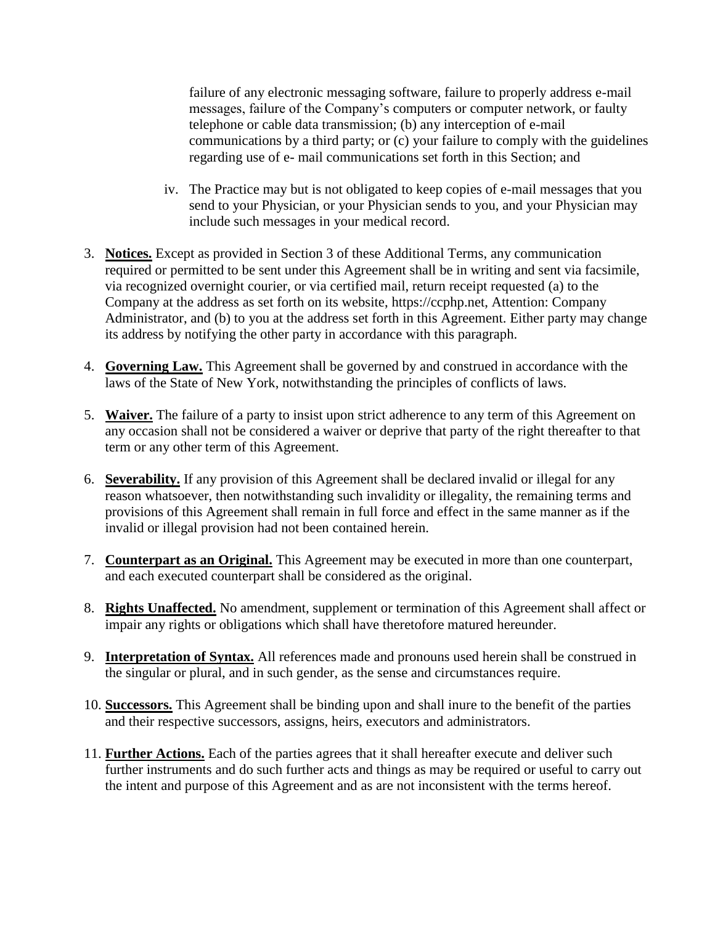failure of any electronic messaging software, failure to properly address e-mail messages, failure of the Company's computers or computer network, or faulty telephone or cable data transmission; (b) any interception of e-mail communications by a third party; or (c) your failure to comply with the guidelines regarding use of e- mail communications set forth in this Section; and

- iv. The Practice may but is not obligated to keep copies of e-mail messages that you send to your Physician, or your Physician sends to you, and your Physician may include such messages in your medical record.
- 3. **Notices.** Except as provided in Section 3 of these Additional Terms, any communication required or permitted to be sent under this Agreement shall be in writing and sent via facsimile, via recognized overnight courier, or via certified mail, return receipt requested (a) to the Company at the address as set forth on its website, https://ccphp.net, Attention: Company Administrator, and (b) to you at the address set forth in this Agreement. Either party may change its address by notifying the other party in accordance with this paragraph.
- 4. **Governing Law.** This Agreement shall be governed by and construed in accordance with the laws of the State of New York, notwithstanding the principles of conflicts of laws.
- 5. **Waiver.** The failure of a party to insist upon strict adherence to any term of this Agreement on any occasion shall not be considered a waiver or deprive that party of the right thereafter to that term or any other term of this Agreement.
- 6. **Severability.** If any provision of this Agreement shall be declared invalid or illegal for any reason whatsoever, then notwithstanding such invalidity or illegality, the remaining terms and provisions of this Agreement shall remain in full force and effect in the same manner as if the invalid or illegal provision had not been contained herein.
- 7. **Counterpart as an Original.** This Agreement may be executed in more than one counterpart, and each executed counterpart shall be considered as the original.
- 8. **Rights Unaffected.** No amendment, supplement or termination of this Agreement shall affect or impair any rights or obligations which shall have theretofore matured hereunder.
- 9. **Interpretation of Syntax.** All references made and pronouns used herein shall be construed in the singular or plural, and in such gender, as the sense and circumstances require.
- 10. **Successors.** This Agreement shall be binding upon and shall inure to the benefit of the parties and their respective successors, assigns, heirs, executors and administrators.
- 11. **Further Actions.** Each of the parties agrees that it shall hereafter execute and deliver such further instruments and do such further acts and things as may be required or useful to carry out the intent and purpose of this Agreement and as are not inconsistent with the terms hereof.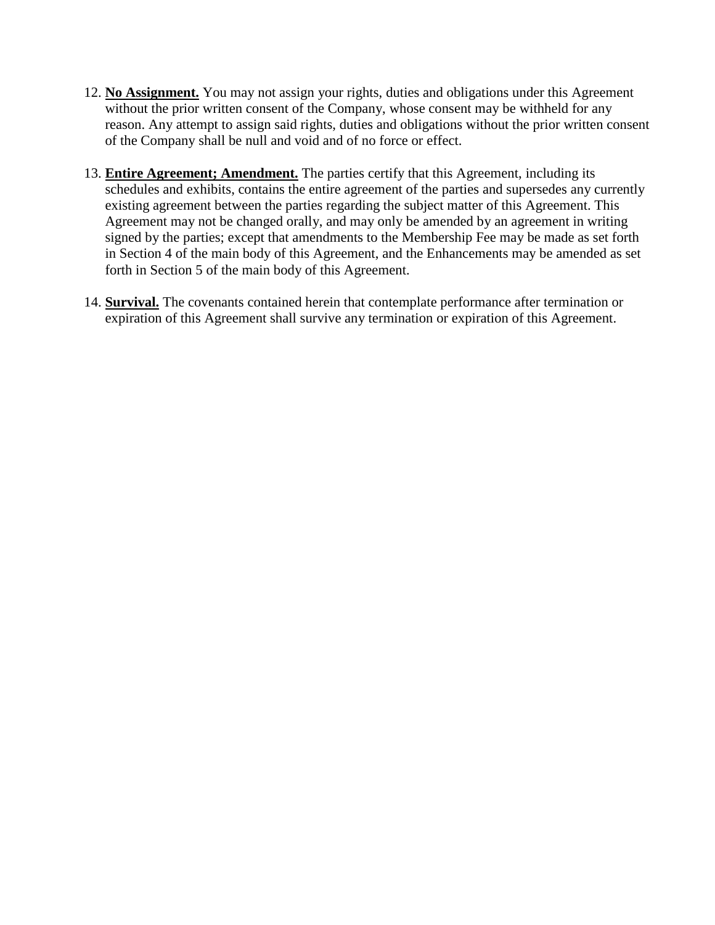- 12. **No Assignment.** You may not assign your rights, duties and obligations under this Agreement without the prior written consent of the Company, whose consent may be withheld for any reason. Any attempt to assign said rights, duties and obligations without the prior written consent of the Company shall be null and void and of no force or effect.
- 13. **Entire Agreement; Amendment.** The parties certify that this Agreement, including its schedules and exhibits, contains the entire agreement of the parties and supersedes any currently existing agreement between the parties regarding the subject matter of this Agreement. This Agreement may not be changed orally, and may only be amended by an agreement in writing signed by the parties; except that amendments to the Membership Fee may be made as set forth in Section 4 of the main body of this Agreement, and the Enhancements may be amended as set forth in Section 5 of the main body of this Agreement.
- 14. **Survival.** The covenants contained herein that contemplate performance after termination or expiration of this Agreement shall survive any termination or expiration of this Agreement.